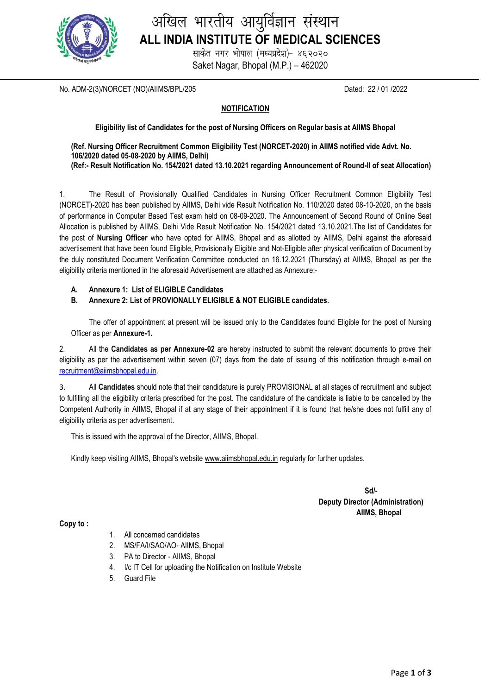

# अखिल भारतीय आयुर्विज्ञान संस्थान **ALL INDIA INSTITUTE OF MEDICAL SCIENCES**

साकेत नगर भोपाल (मध्यप्रदेश)- ४६२०२० Saket Nagar, Bhopal (M.P.) – 462020

No. ADM-2(3)/NORCET (NO)/AIIMS/BPL/205 Dated: 22 / 01 /2022

#### **NOTIFICATION**

**Eligibility list of Candidates for the post of Nursing Officers on Regular basis at AIIMS Bhopal**

**(Ref. Nursing Officer Recruitment Common Eligibility Test (NORCET-2020) in AIIMS notified vide Advt. No. 106/2020 dated 05-08-2020 by AIIMS, Delhi) (Ref:- Result Notification No. 154/2021 dated 13.10.2021 regarding Announcement of Round-II of seat Allocation)**

1. The Result of Provisionally Qualified Candidates in Nursing Officer Recruitment Common Eligibility Test (NORCET)-2020 has been published by AIIMS, Delhi vide Result Notification No. 110/2020 dated 08-10-2020, on the basis of performance in Computer Based Test exam held on 08-09-2020. The Announcement of Second Round of Online Seat Allocation is published by AIIMS, Delhi Vide Result Notification No. 154/2021 dated 13.10.2021.The list of Candidates for the post of **Nursing Officer** who have opted for AIIMS, Bhopal and as allotted by AIIMS, Delhi against the aforesaid advertisement that have been found Eligible, Provisionally Eligible and Not-Eligible after physical verification of Document by the duly constituted Document Verification Committee conducted on 16.12.2021 (Thursday) at AIIMS, Bhopal as per the eligibility criteria mentioned in the aforesaid Advertisement are attached as Annexure:-

- **A. Annexure 1: List of ELIGIBLE Candidates**
- **B. Annexure 2: List of PROVIONALLY ELIGIBLE & NOT ELIGIBLE candidates.**

The offer of appointment at present will be issued only to the Candidates found Eligible for the post of Nursing Officer as per **Annexure-1.**

2. All the **Candidates as per Annexure-02** are hereby instructed to submit the relevant documents to prove their eligibility as per the advertisement within seven (07) days from the date of issuing of this notification through e-mail on [recruitment@aiimsbhopal.edu.in.](mailto:recruitment@aiimsbhopal.edu.in)

3. All **Candidates** should note that their candidature is purely PROVISIONAL at all stages of recruitment and subject to fulfilling all the eligibility criteria prescribed for the post. The candidature of the candidate is liable to be cancelled by the Competent Authority in AIIMS, Bhopal if at any stage of their appointment if it is found that he/she does not fulfill any of eligibility criteria as per advertisement.

This is issued with the approval of the Director, AIIMS, Bhopal.

Kindly keep visiting AIIMS, Bhopal's website www.aiimsbhopal.edu.in regularly for further updates.

**Sd/- Deputy Director (Administration) AIIMS, Bhopal**

**Copy to :**

- 1. All concerned candidates
- 2. MS/FA/I/SAO/AO- AIIMS, Bhopal
- 3. PA to Director AIIMS, Bhopal
- 4. I/c IT Cell for uploading the Notification on Institute Website
- 5. Guard File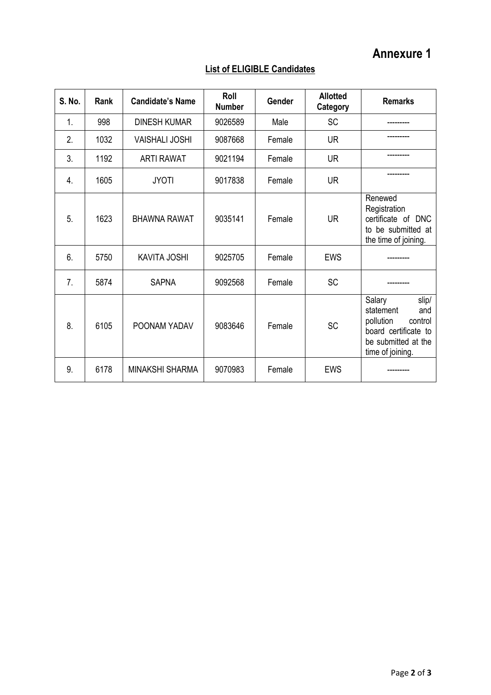# **Annexure 1**

| <b>S. No.</b> | Rank | <b>Candidate's Name</b> | Roll<br><b>Number</b> | Gender | <b>Allotted</b><br>Category | <b>Remarks</b>                                                                                                                 |
|---------------|------|-------------------------|-----------------------|--------|-----------------------------|--------------------------------------------------------------------------------------------------------------------------------|
| 1.            | 998  | <b>DINESH KUMAR</b>     | 9026589               | Male   | <b>SC</b>                   |                                                                                                                                |
| 2.            | 1032 | <b>VAISHALI JOSHI</b>   | 9087668               | Female | <b>UR</b>                   |                                                                                                                                |
| 3.            | 1192 | <b>ARTI RAWAT</b>       | 9021194               | Female | <b>UR</b>                   |                                                                                                                                |
| 4.            | 1605 | <b>JYOTI</b>            | 9017838               | Female | <b>UR</b>                   |                                                                                                                                |
| 5.            | 1623 | <b>BHAWNA RAWAT</b>     | 9035141               | Female | <b>UR</b>                   | Renewed<br>Registration<br>certificate of DNC<br>to be submitted at<br>the time of joining.                                    |
| 6.            | 5750 | <b>KAVITA JOSHI</b>     | 9025705               | Female | <b>EWS</b>                  |                                                                                                                                |
| 7.            | 5874 | <b>SAPNA</b>            | 9092568               | Female | <b>SC</b>                   |                                                                                                                                |
| 8.            | 6105 | POONAM YADAV            | 9083646               | Female | <b>SC</b>                   | Salary<br>slip/<br>statement<br>and<br>pollution<br>control<br>board certificate to<br>be submitted at the<br>time of joining. |
| 9.            | 6178 | <b>MINAKSHI SHARMA</b>  | 9070983               | Female | <b>EWS</b>                  |                                                                                                                                |